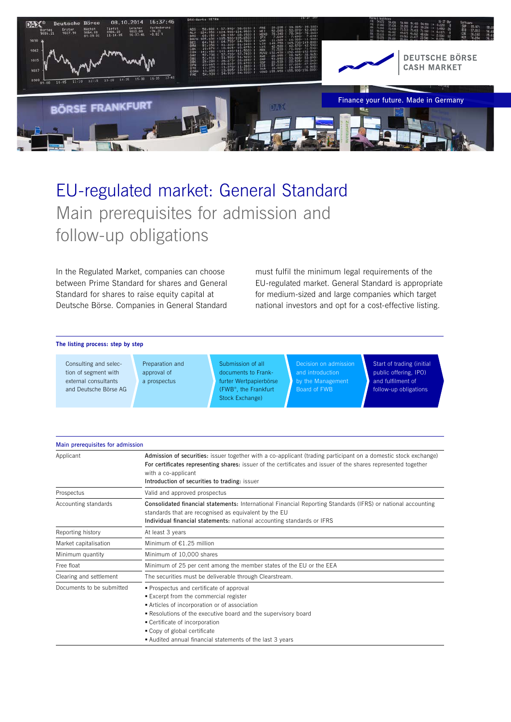

# EU-regulated market: General Standard Main prerequisites for admission and follow-up obligations

In the Regulated Market, companies can choose between Prime Standard for shares and General Standard for shares to raise equity capital at Deutsche Börse. Companies in General Standard

must fulfil the minimum legal requirements of the EU-regulated market. General Standard is appropriate for medium-sized and large companies which target national investors and opt for a cost-effective listing.

#### The listing process: step by step

Consulting and selection of segment with external consultants and Deutsche Börse AG

Preparation and approval of a prospectus

Submission of all documents to Frankfurter Wertpapierbörse (FWB® , the Frankfurt Stock Exchange)

Decision on admission by the Management Board of FWB

Start of trading (initial public offering, IPO) and fulfilment of follow-up obligations

| Main prerequisites for admission |                                                                                                                                                                                                                                                                                                                                  |
|----------------------------------|----------------------------------------------------------------------------------------------------------------------------------------------------------------------------------------------------------------------------------------------------------------------------------------------------------------------------------|
| Applicant                        | Admission of securities: issuer together with a co-applicant (trading participant on a domestic stock exchange)<br>For certificates representing shares: issuer of the certificates and issuer of the shares represented together<br>with a co-applicant<br>Introduction of securities to trading: issuer                        |
| Prospectus                       | Valid and approved prospectus                                                                                                                                                                                                                                                                                                    |
| Accounting standards             | <b>Consolidated financial statements:</b> International Financial Reporting Standards (IFRS) or national accounting<br>standards that are recognised as equivalent by the EU<br>Individual financial statements: national accounting standards or IFRS                                                                           |
| Reporting history                | At least 3 years                                                                                                                                                                                                                                                                                                                 |
| Market capitalisation            | Minimum of €1.25 million                                                                                                                                                                                                                                                                                                         |
| Minimum quantity                 | Minimum of 10,000 shares                                                                                                                                                                                                                                                                                                         |
| Free float                       | Minimum of 25 per cent among the member states of the EU or the EEA                                                                                                                                                                                                                                                              |
| Clearing and settlement          | The securities must be deliverable through Clearstream.                                                                                                                                                                                                                                                                          |
| Documents to be submitted        | • Prospectus and certificate of approval<br>■ Excerpt from the commercial register<br>Articles of incorporation or of association<br>. Resolutions of the executive board and the supervisory board<br>• Certificate of incorporation<br>• Copy of global certificate<br>Audited annual financial statements of the last 3 years |